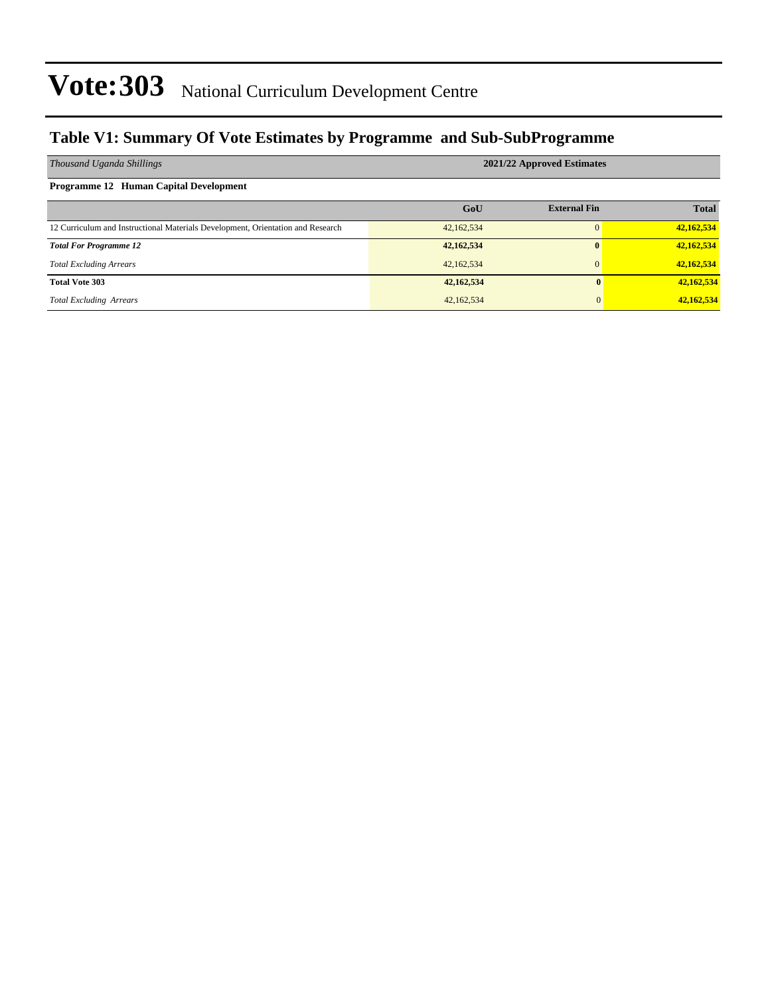#### **Table V1: Summary Of Vote Estimates by Programme and Sub-SubProgramme**

| Thousand Uganda Shillings                                                       | 2021/22 Approved Estimates |                     |              |  |  |  |  |
|---------------------------------------------------------------------------------|----------------------------|---------------------|--------------|--|--|--|--|
| Programme 12 Human Capital Development                                          |                            |                     |              |  |  |  |  |
|                                                                                 | GoU                        | <b>External Fin</b> | <b>Total</b> |  |  |  |  |
| 12 Curriculum and Instructional Materials Development, Orientation and Research | 42,162,534                 | $\Omega$            | 42,162,534   |  |  |  |  |
| <b>Total For Programme 12</b>                                                   | 42,162,534                 |                     | 42,162,534   |  |  |  |  |
| <b>Total Excluding Arrears</b>                                                  | 42,162,534                 | $\overline{0}$      | 42,162,534   |  |  |  |  |
| <b>Total Vote 303</b>                                                           | 42,162,534                 | 0                   | 42,162,534   |  |  |  |  |
| <b>Total Excluding Arrears</b>                                                  | 42,162,534                 | $\Omega$            | 42,162,534   |  |  |  |  |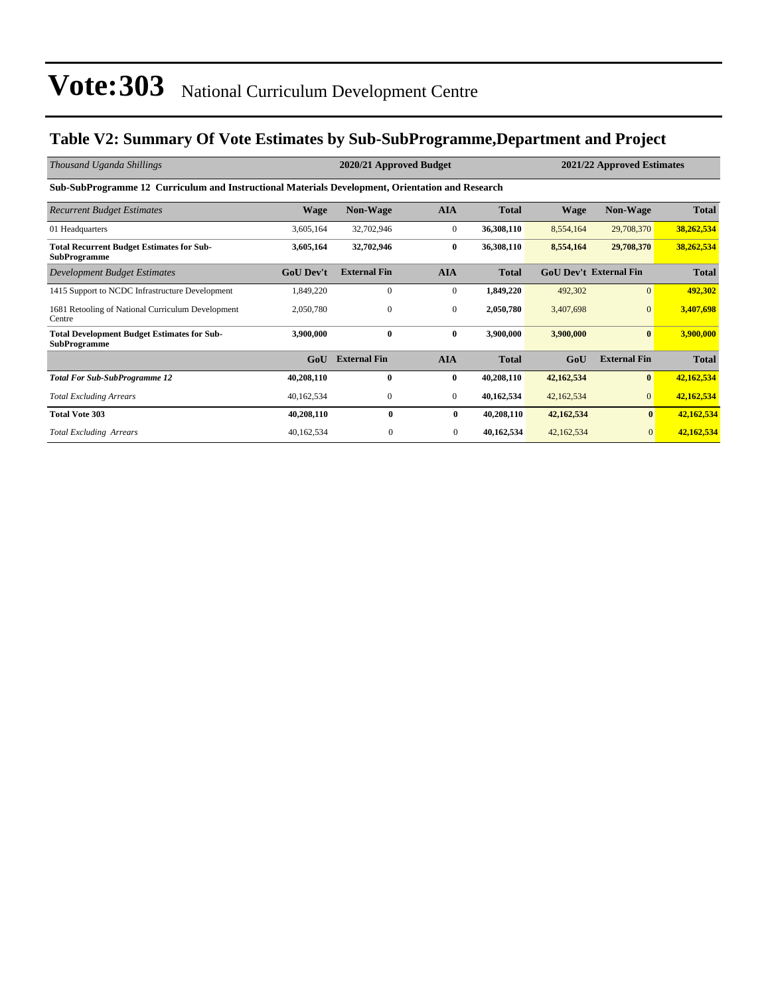### **Table V2: Summary Of Vote Estimates by Sub-SubProgramme,Department and Project**

| Thousand Uganda Shillings                                                                        |                  | 2020/21 Approved Budget |                  |              | 2021/22 Approved Estimates |                               |              |  |  |  |  |
|--------------------------------------------------------------------------------------------------|------------------|-------------------------|------------------|--------------|----------------------------|-------------------------------|--------------|--|--|--|--|
| Sub-SubProgramme 12 Curriculum and Instructional Materials Development, Orientation and Research |                  |                         |                  |              |                            |                               |              |  |  |  |  |
| <b>Recurrent Budget Estimates</b>                                                                | <b>Wage</b>      | <b>Non-Wage</b>         | <b>AIA</b>       | <b>Total</b> | <b>Wage</b>                | Non-Wage                      | <b>Total</b> |  |  |  |  |
| 01 Headquarters                                                                                  | 3,605,164        | 32,702,946              | $\mathbf{0}$     | 36,308,110   | 8,554,164                  | 29,708,370                    | 38,262,534   |  |  |  |  |
| <b>Total Recurrent Budget Estimates for Sub-</b><br><b>SubProgramme</b>                          | 3,605,164        | 32,702,946              | $\bf{0}$         | 36,308,110   | 8,554,164                  | 29,708,370                    | 38,262,534   |  |  |  |  |
| Development Budget Estimates                                                                     | <b>GoU Dev't</b> | <b>External Fin</b>     | <b>AIA</b>       | <b>Total</b> |                            | <b>GoU Dev't External Fin</b> | <b>Total</b> |  |  |  |  |
| 1415 Support to NCDC Infrastructure Development                                                  | 1,849,220        | $\mathbf{0}$            | $\mathbf{0}$     | 1,849,220    | 492,302                    | $\overline{0}$                | 492,302      |  |  |  |  |
| 1681 Retooling of National Curriculum Development<br>Centre                                      | 2,050,780        | $\mathbf{0}$            | $\boldsymbol{0}$ | 2,050,780    | 3,407,698                  | $\mathbf{0}$                  | 3,407,698    |  |  |  |  |
| <b>Total Development Budget Estimates for Sub-</b><br><b>SubProgramme</b>                        | 3,900,000        | $\bf{0}$                | $\bf{0}$         | 3,900,000    | 3,900,000                  | $\bf{0}$                      | 3,900,000    |  |  |  |  |
|                                                                                                  | GoU              | <b>External Fin</b>     | <b>AIA</b>       | <b>Total</b> | GoU                        | <b>External Fin</b>           | <b>Total</b> |  |  |  |  |
| <b>Total For Sub-SubProgramme 12</b>                                                             | 40,208,110       | $\mathbf{0}$            | $\bf{0}$         | 40,208,110   | 42,162,534                 | $\bf{0}$                      | 42,162,534   |  |  |  |  |
| <b>Total Excluding Arrears</b>                                                                   | 40,162,534       | $\mathbf{0}$            | $\mathbf{0}$     | 40,162,534   | 42,162,534                 | $\overline{0}$                | 42,162,534   |  |  |  |  |
| <b>Total Vote 303</b>                                                                            | 40,208,110       | $\bf{0}$                | 0                | 40,208,110   | 42,162,534                 | $\bf{0}$                      | 42,162,534   |  |  |  |  |
| <b>Total Excluding Arrears</b>                                                                   | 40,162,534       | $\Omega$                | $\mathbf{0}$     | 40,162,534   | 42,162,534                 | $\overline{0}$                | 42,162,534   |  |  |  |  |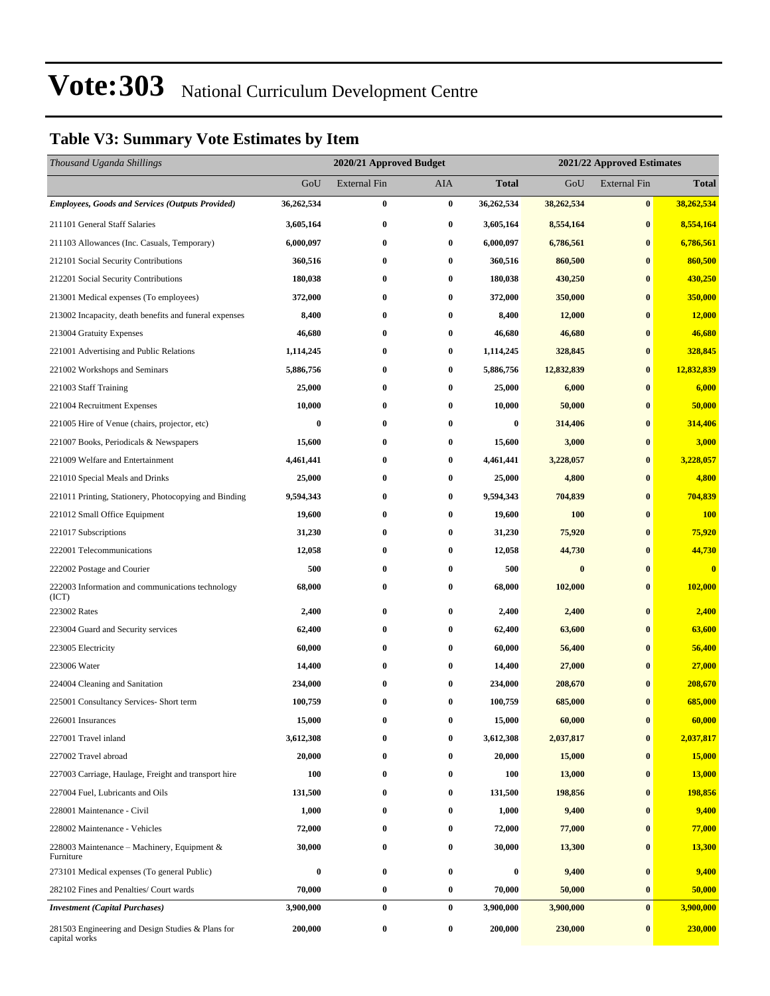### **Table V3: Summary Vote Estimates by Item**

| Thousand Uganda Shillings                                          |            | 2020/21 Approved Budget |                  |                  | 2021/22 Approved Estimates |                     |               |
|--------------------------------------------------------------------|------------|-------------------------|------------------|------------------|----------------------------|---------------------|---------------|
|                                                                    | GoU        | <b>External Fin</b>     | AIA              | <b>Total</b>     | GoU                        | <b>External Fin</b> | <b>Total</b>  |
| <b>Employees, Goods and Services (Outputs Provided)</b>            | 36,262,534 | $\bf{0}$                | $\pmb{0}$        | 36,262,534       | 38,262,534                 | $\pmb{0}$           | 38,262,534    |
| 211101 General Staff Salaries                                      | 3,605,164  | $\bf{0}$                | $\bf{0}$         | 3,605,164        | 8,554,164                  | $\bf{0}$            | 8,554,164     |
| 211103 Allowances (Inc. Casuals, Temporary)                        | 6,000,097  | $\bf{0}$                | $\bf{0}$         | 6,000,097        | 6,786,561                  | $\bf{0}$            | 6,786,561     |
| 212101 Social Security Contributions                               | 360,516    | $\bf{0}$                | $\bf{0}$         | 360,516          | 860,500                    | $\bf{0}$            | 860,500       |
| 212201 Social Security Contributions                               | 180,038    | $\bf{0}$                | $\bf{0}$         | 180,038          | 430,250                    | $\bf{0}$            | 430,250       |
| 213001 Medical expenses (To employees)                             | 372,000    | $\bf{0}$                | $\bf{0}$         | 372,000          | 350,000                    | $\bf{0}$            | 350,000       |
| 213002 Incapacity, death benefits and funeral expenses             | 8,400      | $\bf{0}$                | 0                | 8,400            | 12,000                     | $\bf{0}$            | 12,000        |
| 213004 Gratuity Expenses                                           | 46,680     | $\bf{0}$                | $\bf{0}$         | 46,680           | 46,680                     | $\bf{0}$            | 46,680        |
| 221001 Advertising and Public Relations                            | 1,114,245  | $\bf{0}$                | $\bf{0}$         | 1,114,245        | 328,845                    | $\bf{0}$            | 328,845       |
| 221002 Workshops and Seminars                                      | 5,886,756  | $\bf{0}$                | $\bf{0}$         | 5,886,756        | 12,832,839                 | $\bf{0}$            | 12,832,839    |
| 221003 Staff Training                                              | 25,000     | $\bf{0}$                | $\bf{0}$         | 25,000           | 6,000                      | $\bf{0}$            | 6,000         |
| 221004 Recruitment Expenses                                        | 10,000     | $\bf{0}$                | $\bf{0}$         | 10,000           | 50,000                     | $\bf{0}$            | 50,000        |
| 221005 Hire of Venue (chairs, projector, etc)                      | $\bf{0}$   | $\bf{0}$                | $\bf{0}$         | $\boldsymbol{0}$ | 314,406                    | $\bf{0}$            | 314,406       |
| 221007 Books, Periodicals & Newspapers                             | 15,600     | $\bf{0}$                | $\bf{0}$         | 15,600           | 3,000                      | $\bf{0}$            | 3,000         |
| 221009 Welfare and Entertainment                                   | 4,461,441  | $\bf{0}$                | $\bf{0}$         | 4,461,441        | 3,228,057                  | $\bf{0}$            | 3,228,057     |
| 221010 Special Meals and Drinks                                    | 25,000     | $\bf{0}$                | $\bf{0}$         | 25,000           | 4,800                      | $\bf{0}$            | 4,800         |
| 221011 Printing, Stationery, Photocopying and Binding              | 9,594,343  | $\bf{0}$                | $\bf{0}$         | 9,594,343        | 704,839                    | $\bf{0}$            | 704,839       |
| 221012 Small Office Equipment                                      | 19,600     | $\bf{0}$                | $\bf{0}$         | 19,600           | <b>100</b>                 | $\bf{0}$            | <b>100</b>    |
| 221017 Subscriptions                                               | 31,230     | $\bf{0}$                | $\bf{0}$         | 31,230           | 75,920                     | $\bf{0}$            | 75,920        |
| 222001 Telecommunications                                          | 12,058     | $\bf{0}$                | $\bf{0}$         | 12,058           | 44,730                     | $\bf{0}$            | 44,730        |
| 222002 Postage and Courier                                         | 500        | $\bf{0}$                | $\bf{0}$         | 500              | $\bf{0}$                   | $\bf{0}$            | $\mathbf{0}$  |
| 222003 Information and communications technology                   | 68,000     | $\bf{0}$                | 0                | 68,000           | 102,000                    | $\bf{0}$            | 102,000       |
| (ICT)<br>223002 Rates                                              | 2,400      | $\bf{0}$                | $\boldsymbol{0}$ | 2,400            | 2,400                      | $\bf{0}$            | 2,400         |
| 223004 Guard and Security services                                 | 62,400     | $\bf{0}$                | $\bf{0}$         | 62,400           | 63,600                     | $\bf{0}$            | 63,600        |
| 223005 Electricity                                                 | 60,000     | $\bf{0}$                | 0                | 60,000           | 56,400                     | $\bf{0}$            | 56,400        |
| 223006 Water                                                       | 14,400     | $\bf{0}$                | $\bf{0}$         | 14,400           | 27,000                     | $\bf{0}$            | 27,000        |
| 224004 Cleaning and Sanitation                                     | 234,000    | $\bf{0}$                | 0                | 234,000          | 208,670                    | $\bf{0}$            | 208,670       |
| 225001 Consultancy Services- Short term                            | 100,759    | $\bf{0}$                | $\bf{0}$         | 100,759          | 685,000                    | $\bf{0}$            | 685,000       |
| 226001 Insurances                                                  | 15,000     | $\bf{0}$                | $\bf{0}$         | 15,000           | 60,000                     | $\bf{0}$            | 60,000        |
| 227001 Travel inland                                               | 3,612,308  | 0                       | $\bf{0}$         | 3,612,308        | 2,037,817                  | $\bf{0}$            | 2,037,817     |
| 227002 Travel abroad                                               | 20,000     | $\bf{0}$                | 0                | 20,000           | 15,000                     | $\bf{0}$            | 15,000        |
| 227003 Carriage, Haulage, Freight and transport hire               | 100        | $\bf{0}$                | $\bf{0}$         | 100              | 13,000                     | $\bf{0}$            | <b>13,000</b> |
| 227004 Fuel, Lubricants and Oils                                   | 131,500    | $\bf{0}$                | $\bf{0}$         | 131,500          | 198,856                    | $\bf{0}$            | 198,856       |
| 228001 Maintenance - Civil                                         | 1,000      | $\bf{0}$                | $\bf{0}$         | 1,000            | 9,400                      | $\bf{0}$            | 9,400         |
| 228002 Maintenance - Vehicles                                      | 72,000     | $\bf{0}$                | $\bf{0}$         | 72,000           | 77,000                     | $\bf{0}$            | 77,000        |
| 228003 Maintenance – Machinery, Equipment $&$<br>Furniture         | 30,000     | $\bf{0}$                | $\bf{0}$         | 30,000           | 13,300                     | $\bf{0}$            | <b>13,300</b> |
| 273101 Medical expenses (To general Public)                        | $\bf{0}$   | $\bf{0}$                | $\bf{0}$         | $\bf{0}$         | 9,400                      | $\bf{0}$            | 9,400         |
| 282102 Fines and Penalties/ Court wards                            | 70,000     | $\bf{0}$                | $\bf{0}$         | 70,000           | 50,000                     | $\bf{0}$            | 50,000        |
| <b>Investment</b> (Capital Purchases)                              | 3,900,000  | $\bf{0}$                | $\bf{0}$         | 3,900,000        | 3,900,000                  | $\bf{0}$            | 3,900,000     |
| 281503 Engineering and Design Studies & Plans for<br>capital works | 200,000    | $\bf{0}$                | 0                | 200,000          | 230,000                    | $\bf{0}$            | 230,000       |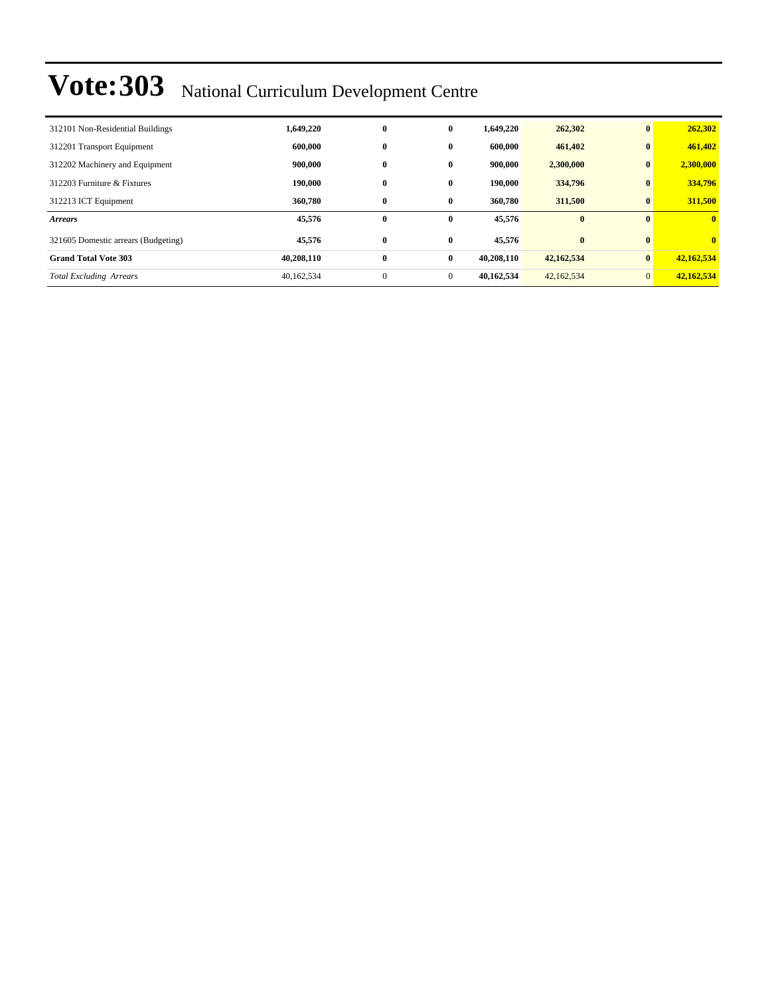| 312101 Non-Residential Buildings    | 1,649,220  | $\bf{0}$     | $\bf{0}$     | 1,649,220  | 262,302    | $\mathbf{0}$   | 262,302      |
|-------------------------------------|------------|--------------|--------------|------------|------------|----------------|--------------|
| 312201 Transport Equipment          | 600,000    | $\bf{0}$     | 0            | 600,000    | 461,402    | $\bf{0}$       | 461,402      |
| 312202 Machinery and Equipment      | 900,000    | $\bf{0}$     | $\bf{0}$     | 900,000    | 2,300,000  | $\bf{0}$       | 2,300,000    |
| 312203 Furniture & Fixtures         | 190,000    | $\bf{0}$     | 0            | 190,000    | 334,796    | $\bf{0}$       | 334,796      |
| 312213 ICT Equipment                | 360,780    | $\bf{0}$     | $\bf{0}$     | 360,780    | 311,500    | $\bf{0}$       | 311,500      |
| <b>Arrears</b>                      | 45,576     | $\bf{0}$     | $\bf{0}$     | 45,576     | $\bf{0}$   | $\mathbf{0}$   | $\mathbf{0}$ |
| 321605 Domestic arrears (Budgeting) | 45,576     | $\bf{0}$     | $\bf{0}$     | 45,576     | $\bf{0}$   | $\mathbf{0}$   | $\mathbf{0}$ |
| <b>Grand Total Vote 303</b>         | 40,208,110 | $\bf{0}$     | $\bf{0}$     | 40,208,110 | 42,162,534 | $\bf{0}$       | 42,162,534   |
| <b>Total Excluding Arrears</b>      | 40,162,534 | $\mathbf{0}$ | $\mathbf{0}$ | 40.162.534 | 42,162,534 | $\overline{0}$ | 42,162,534   |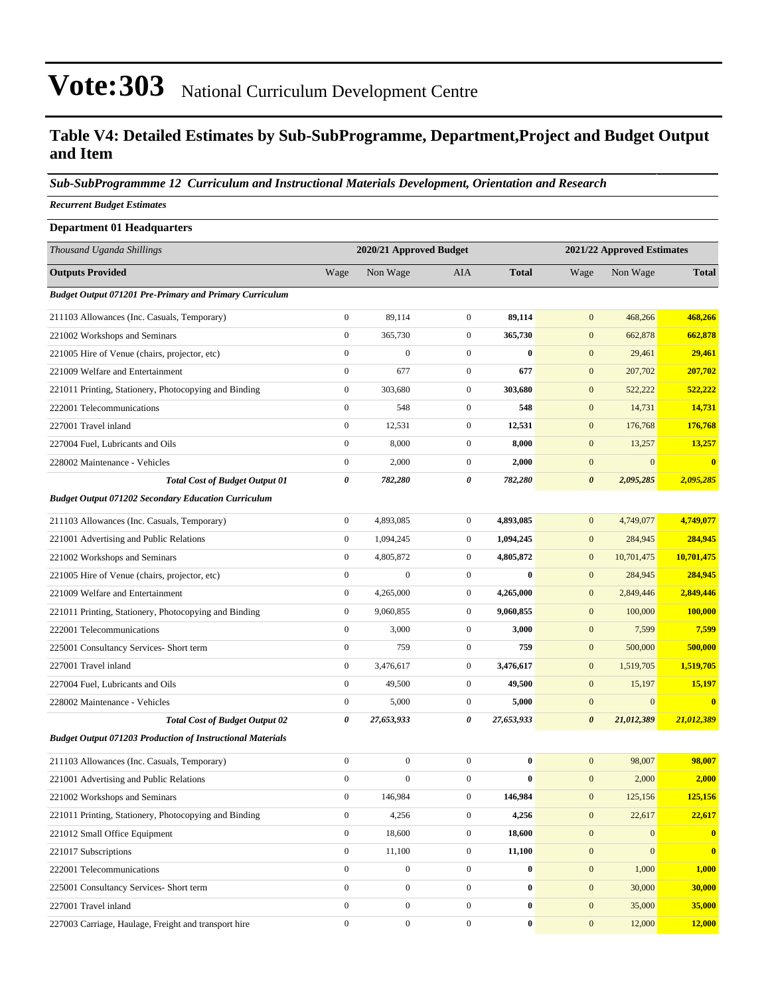#### **Table V4: Detailed Estimates by Sub-SubProgramme, Department,Project and Budget Output and Item**

#### *Sub-SubProgrammme 12 Curriculum and Instructional Materials Development, Orientation and Research*

*Recurrent Budget Estimates*

| <b>Department 01 Headquarters</b>                                 |                  |                         |                  |              |                       |                            |                  |  |  |
|-------------------------------------------------------------------|------------------|-------------------------|------------------|--------------|-----------------------|----------------------------|------------------|--|--|
| Thousand Uganda Shillings                                         |                  | 2020/21 Approved Budget |                  |              |                       | 2021/22 Approved Estimates |                  |  |  |
| <b>Outputs Provided</b>                                           | Wage             | Non Wage                | <b>AIA</b>       | <b>Total</b> | Wage                  | Non Wage                   | <b>Total</b>     |  |  |
| <b>Budget Output 071201 Pre-Primary and Primary Curriculum</b>    |                  |                         |                  |              |                       |                            |                  |  |  |
| 211103 Allowances (Inc. Casuals, Temporary)                       | $\boldsymbol{0}$ | 89,114                  | $\boldsymbol{0}$ | 89,114       | $\mathbf{0}$          | 468,266                    | 468,266          |  |  |
| 221002 Workshops and Seminars                                     | $\boldsymbol{0}$ | 365,730                 | $\boldsymbol{0}$ | 365,730      | $\mathbf{0}$          | 662,878                    | 662,878          |  |  |
| 221005 Hire of Venue (chairs, projector, etc)                     | $\boldsymbol{0}$ | $\mathbf{0}$            | $\mathbf{0}$     | $\mathbf{0}$ | $\mathbf{0}$          | 29,461                     | 29,461           |  |  |
| 221009 Welfare and Entertainment                                  | $\boldsymbol{0}$ | 677                     | $\boldsymbol{0}$ | 677          | $\boldsymbol{0}$      | 207,702                    | 207,702          |  |  |
| 221011 Printing, Stationery, Photocopying and Binding             | $\boldsymbol{0}$ | 303,680                 | $\mathbf{0}$     | 303,680      | $\mathbf{0}$          | 522,222                    | 522,222          |  |  |
| 222001 Telecommunications                                         | $\boldsymbol{0}$ | 548                     | $\boldsymbol{0}$ | 548          | $\mathbf{0}$          | 14,731                     | 14,731           |  |  |
| 227001 Travel inland                                              | $\boldsymbol{0}$ | 12,531                  | $\mathbf{0}$     | 12,531       | $\mathbf{0}$          | 176,768                    | 176,768          |  |  |
| 227004 Fuel, Lubricants and Oils                                  | $\boldsymbol{0}$ | 8,000                   | $\mathbf{0}$     | 8,000        | $\mathbf{0}$          | 13,257                     | 13,257           |  |  |
| 228002 Maintenance - Vehicles                                     | $\boldsymbol{0}$ | 2,000                   | $\mathbf{0}$     | 2,000        | $\boldsymbol{0}$      | $\boldsymbol{0}$           | $\bf{0}$         |  |  |
| <b>Total Cost of Budget Output 01</b>                             | 0                | 782,280                 | 0                | 782,280      | $\boldsymbol{\theta}$ | 2,095,285                  | 2,095,285        |  |  |
| <b>Budget Output 071202 Secondary Education Curriculum</b>        |                  |                         |                  |              |                       |                            |                  |  |  |
| 211103 Allowances (Inc. Casuals, Temporary)                       | $\boldsymbol{0}$ | 4,893,085               | $\boldsymbol{0}$ | 4,893,085    | $\boldsymbol{0}$      | 4,749,077                  | 4,749,077        |  |  |
| 221001 Advertising and Public Relations                           | $\boldsymbol{0}$ | 1,094,245               | $\mathbf{0}$     | 1,094,245    | $\mathbf{0}$          | 284,945                    | 284,945          |  |  |
| 221002 Workshops and Seminars                                     | $\boldsymbol{0}$ | 4,805,872               | $\mathbf{0}$     | 4,805,872    | $\mathbf{0}$          | 10,701,475                 | 10,701,475       |  |  |
| 221005 Hire of Venue (chairs, projector, etc)                     | $\boldsymbol{0}$ | $\boldsymbol{0}$        | $\boldsymbol{0}$ | $\bf{0}$     | $\mathbf{0}$          | 284,945                    | 284,945          |  |  |
| 221009 Welfare and Entertainment                                  | $\boldsymbol{0}$ | 4,265,000               | $\mathbf{0}$     | 4,265,000    | $\mathbf{0}$          | 2,849,446                  | 2,849,446        |  |  |
| 221011 Printing, Stationery, Photocopying and Binding             | $\boldsymbol{0}$ | 9,060,855               | $\mathbf{0}$     | 9,060,855    | $\mathbf{0}$          | 100,000                    | 100,000          |  |  |
| 222001 Telecommunications                                         | $\boldsymbol{0}$ | 3,000                   | $\mathbf{0}$     | 3,000        | $\mathbf{0}$          | 7,599                      | 7,599            |  |  |
| 225001 Consultancy Services- Short term                           | $\boldsymbol{0}$ | 759                     | $\mathbf{0}$     | 759          | $\boldsymbol{0}$      | 500,000                    | 500,000          |  |  |
| 227001 Travel inland                                              | $\boldsymbol{0}$ | 3,476,617               | $\mathbf{0}$     | 3,476,617    | $\boldsymbol{0}$      | 1,519,705                  | 1,519,705        |  |  |
| 227004 Fuel, Lubricants and Oils                                  | $\boldsymbol{0}$ | 49,500                  | $\mathbf{0}$     | 49,500       | $\mathbf{0}$          | 15,197                     | 15,197           |  |  |
| 228002 Maintenance - Vehicles                                     | $\boldsymbol{0}$ | 5,000                   | $\mathbf{0}$     | 5,000        | $\boldsymbol{0}$      | $\boldsymbol{0}$           | $\bf{0}$         |  |  |
| <b>Total Cost of Budget Output 02</b>                             | 0                | 27,653,933              | 0                | 27,653,933   | $\boldsymbol{\theta}$ | 21,012,389                 | 21,012,389       |  |  |
| <b>Budget Output 071203 Production of Instructional Materials</b> |                  |                         |                  |              |                       |                            |                  |  |  |
| 211103 Allowances (Inc. Casuals, Temporary)                       | $\boldsymbol{0}$ | $\boldsymbol{0}$        | $\mathbf{0}$     | $\bf{0}$     | $\mathbf{0}$          | 98,007                     | 98,007           |  |  |
| 221001 Advertising and Public Relations                           | $\boldsymbol{0}$ | $\boldsymbol{0}$        | $\mathbf{0}$     | $\bf{0}$     | $\mathbf{0}$          | 2,000                      | 2,000            |  |  |
| 221002 Workshops and Seminars                                     | $\boldsymbol{0}$ | 146,984                 | $\boldsymbol{0}$ | 146,984      | $\mathbf{0}$          | 125,156                    | 125,156          |  |  |
| 221011 Printing, Stationery, Photocopying and Binding             | $\boldsymbol{0}$ | 4,256                   | $\boldsymbol{0}$ | 4,256        | $\boldsymbol{0}$      | 22,617                     | 22,617           |  |  |
| 221012 Small Office Equipment                                     | $\boldsymbol{0}$ | 18,600                  | $\mathbf{0}$     | 18,600       | $\boldsymbol{0}$      | $\mathbf{0}$               | $\boldsymbol{0}$ |  |  |
| 221017 Subscriptions                                              | $\boldsymbol{0}$ | 11,100                  | $\boldsymbol{0}$ | 11,100       | $\boldsymbol{0}$      | $\mathbf{0}$               | $\bf{0}$         |  |  |
| 222001 Telecommunications                                         | $\boldsymbol{0}$ | $\boldsymbol{0}$        | $\boldsymbol{0}$ | $\bf{0}$     | $\boldsymbol{0}$      | 1,000                      | 1,000            |  |  |
| 225001 Consultancy Services- Short term                           | $\boldsymbol{0}$ | $\boldsymbol{0}$        | $\boldsymbol{0}$ | $\bf{0}$     | $\mathbf{0}$          | 30,000                     | 30,000           |  |  |
| 227001 Travel inland                                              | $\boldsymbol{0}$ | $\boldsymbol{0}$        | $\mathbf{0}$     | $\bf{0}$     | $\boldsymbol{0}$      | 35,000                     | 35,000           |  |  |
| 227003 Carriage, Haulage, Freight and transport hire              | $\boldsymbol{0}$ | $\boldsymbol{0}$        | $\mathbf{0}$     | $\bf{0}$     | $\mathbf{0}$          | 12,000                     | 12,000           |  |  |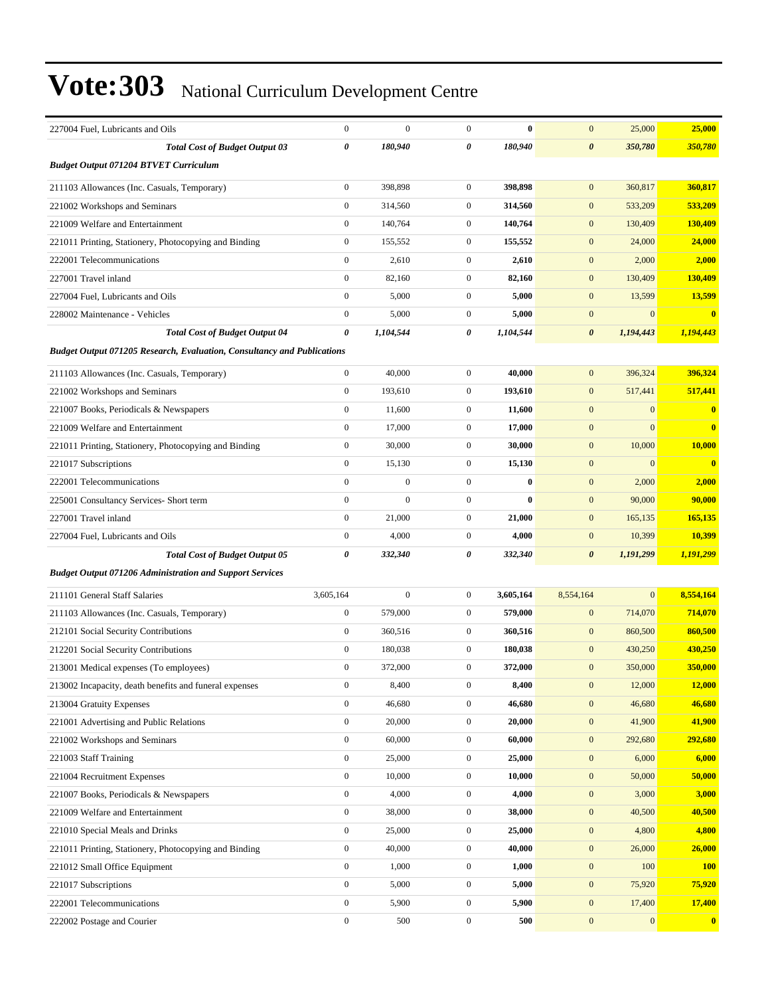| 227004 Fuel, Lubricants and Oils                                               | $\boldsymbol{0}$ | $\mathbf{0}$     | $\mathbf{0}$     | $\mathbf{0}$ | $\mathbf{0}$          | 25,000       | 25,000       |
|--------------------------------------------------------------------------------|------------------|------------------|------------------|--------------|-----------------------|--------------|--------------|
| <b>Total Cost of Budget Output 03</b>                                          | 0                | 180,940          | 0                | 180,940      | $\boldsymbol{\theta}$ | 350,780      | 350,780      |
| <b>Budget Output 071204 BTVET Curriculum</b>                                   |                  |                  |                  |              |                       |              |              |
| 211103 Allowances (Inc. Casuals, Temporary)                                    | $\boldsymbol{0}$ | 398,898          | $\mathbf{0}$     | 398,898      | $\mathbf{0}$          | 360,817      | 360,817      |
| 221002 Workshops and Seminars                                                  | $\boldsymbol{0}$ | 314,560          | $\mathbf{0}$     | 314,560      | $\mathbf{0}$          | 533,209      | 533,209      |
| 221009 Welfare and Entertainment                                               | $\boldsymbol{0}$ | 140,764          | $\overline{0}$   | 140,764      | $\mathbf{0}$          | 130,409      | 130,409      |
| 221011 Printing, Stationery, Photocopying and Binding                          | $\boldsymbol{0}$ | 155,552          | $\mathbf{0}$     | 155,552      | $\mathbf{0}$          | 24,000       | 24,000       |
| 222001 Telecommunications                                                      | $\boldsymbol{0}$ | 2,610            | $\mathbf{0}$     | 2,610        | $\mathbf{0}$          | 2,000        | 2,000        |
| 227001 Travel inland                                                           | $\boldsymbol{0}$ | 82,160           | $\mathbf{0}$     | 82,160       | $\mathbf{0}$          | 130,409      | 130,409      |
| 227004 Fuel, Lubricants and Oils                                               | $\boldsymbol{0}$ | 5,000            | $\mathbf{0}$     | 5,000        | $\mathbf{0}$          | 13,599       | 13,599       |
| 228002 Maintenance - Vehicles                                                  | $\boldsymbol{0}$ | 5,000            | $\overline{0}$   | 5,000        | $\boldsymbol{0}$      | $\mathbf{0}$ | $\bf{0}$     |
| <b>Total Cost of Budget Output 04</b>                                          | 0                | 1,104,544        | 0                | 1,104,544    | $\boldsymbol{\theta}$ | 1,194,443    | 1,194,443    |
| <b>Budget Output 071205 Research, Evaluation, Consultancy and Publications</b> |                  |                  |                  |              |                       |              |              |
| 211103 Allowances (Inc. Casuals, Temporary)                                    | $\boldsymbol{0}$ | 40,000           | $\mathbf{0}$     | 40,000       | $\mathbf{0}$          | 396,324      | 396,324      |
| 221002 Workshops and Seminars                                                  | $\boldsymbol{0}$ | 193,610          | $\mathbf{0}$     | 193,610      | $\mathbf{0}$          | 517,441      | 517,441      |
| 221007 Books, Periodicals & Newspapers                                         | $\boldsymbol{0}$ | 11,600           | $\mathbf{0}$     | 11,600       | $\mathbf{0}$          | $\mathbf{0}$ | $\mathbf{0}$ |
| 221009 Welfare and Entertainment                                               | $\boldsymbol{0}$ | 17,000           | $\mathbf{0}$     | 17,000       | $\mathbf{0}$          | $\mathbf{0}$ | $\mathbf{0}$ |
| 221011 Printing, Stationery, Photocopying and Binding                          | $\boldsymbol{0}$ | 30,000           | $\mathbf{0}$     | 30,000       | $\mathbf{0}$          | 10,000       | 10,000       |
| 221017 Subscriptions                                                           | $\boldsymbol{0}$ | 15,130           | $\mathbf{0}$     | 15,130       | $\boldsymbol{0}$      | $\mathbf{0}$ | $\bf{0}$     |
| 222001 Telecommunications                                                      | $\boldsymbol{0}$ | $\boldsymbol{0}$ | $\mathbf{0}$     | $\bf{0}$     | $\mathbf{0}$          | 2,000        | 2,000        |
| 225001 Consultancy Services- Short term                                        | $\boldsymbol{0}$ | $\mathbf{0}$     | $\mathbf{0}$     | $\bf{0}$     | $\boldsymbol{0}$      | 90,000       | 90,000       |
| 227001 Travel inland                                                           | $\overline{0}$   | 21,000           | $\mathbf{0}$     | 21,000       | $\mathbf{0}$          | 165,135      | 165,135      |
| 227004 Fuel, Lubricants and Oils                                               | $\boldsymbol{0}$ | 4,000            | $\mathbf{0}$     | 4,000        | $\mathbf{0}$          | 10,399       | 10,399       |
| <b>Total Cost of Budget Output 05</b>                                          | 0                | 332,340          | 0                | 332,340      | $\boldsymbol{\theta}$ | 1,191,299    | 1,191,299    |
| <b>Budget Output 071206 Administration and Support Services</b>                |                  |                  |                  |              |                       |              |              |
| 211101 General Staff Salaries                                                  | 3,605,164        | $\boldsymbol{0}$ | $\mathbf{0}$     | 3,605,164    | 8,554,164             | $\mathbf{0}$ | 8,554,164    |
| 211103 Allowances (Inc. Casuals, Temporary)                                    | $\boldsymbol{0}$ | 579,000          | $\mathbf{0}$     | 579,000      | $\mathbf{0}$          | 714,070      | 714,070      |
| 212101 Social Security Contributions                                           | $\boldsymbol{0}$ | 360,516          | $\mathbf{0}$     | 360,516      | $\mathbf{0}$          | 860,500      | 860,500      |
| 212201 Social Security Contributions                                           | $\boldsymbol{0}$ | 180,038          | $\mathbf{0}$     | 180,038      | $\mathbf{0}$          | 430,250      | 430,250      |
| 213001 Medical expenses (To employees)                                         | $\boldsymbol{0}$ | 372,000          | $\mathbf{0}$     | 372,000      | $\mathbf{0}$          | 350,000      | 350,000      |
| 213002 Incapacity, death benefits and funeral expenses                         | 0                | 8,400            | $\boldsymbol{0}$ | 8,400        | $\mathbf{0}$          | 12,000       | 12,000       |
| 213004 Gratuity Expenses                                                       | $\boldsymbol{0}$ | 46,680           | $\mathbf{0}$     | 46,680       | $\mathbf{0}$          | 46,680       | 46,680       |
| 221001 Advertising and Public Relations                                        | $\boldsymbol{0}$ | 20,000           | $\mathbf{0}$     | 20,000       | $\mathbf{0}$          | 41,900       | 41,900       |
| 221002 Workshops and Seminars                                                  | $\boldsymbol{0}$ | 60,000           | $\mathbf{0}$     | 60,000       | $\boldsymbol{0}$      | 292,680      | 292,680      |
| 221003 Staff Training                                                          | $\boldsymbol{0}$ | 25,000           | $\boldsymbol{0}$ | 25,000       | $\boldsymbol{0}$      | 6,000        | 6,000        |
| 221004 Recruitment Expenses                                                    | $\boldsymbol{0}$ | 10,000           | $\boldsymbol{0}$ | 10,000       | $\boldsymbol{0}$      | 50,000       | 50,000       |
| 221007 Books, Periodicals & Newspapers                                         | $\boldsymbol{0}$ | 4,000            | $\boldsymbol{0}$ | 4,000        | $\boldsymbol{0}$      | 3,000        | 3,000        |
| 221009 Welfare and Entertainment                                               | $\boldsymbol{0}$ | 38,000           | $\boldsymbol{0}$ | 38,000       | $\boldsymbol{0}$      | 40,500       | 40,500       |
| 221010 Special Meals and Drinks                                                | $\boldsymbol{0}$ | 25,000           | $\mathbf{0}$     | 25,000       | $\boldsymbol{0}$      | 4,800        | 4,800        |
| 221011 Printing, Stationery, Photocopying and Binding                          | $\boldsymbol{0}$ | 40,000           | $\boldsymbol{0}$ | 40,000       | $\boldsymbol{0}$      | 26,000       | 26,000       |
| 221012 Small Office Equipment                                                  | $\boldsymbol{0}$ | 1,000            | $\boldsymbol{0}$ | 1,000        | $\boldsymbol{0}$      | 100          | <b>100</b>   |
| 221017 Subscriptions                                                           | $\boldsymbol{0}$ | 5,000            | $\boldsymbol{0}$ | 5,000        | $\boldsymbol{0}$      | 75,920       | 75,920       |
| 222001 Telecommunications                                                      | $\boldsymbol{0}$ | 5,900            | $\boldsymbol{0}$ | 5,900        | $\boldsymbol{0}$      | 17,400       | 17,400       |
| 222002 Postage and Courier                                                     | $\boldsymbol{0}$ | 500              | $\boldsymbol{0}$ | 500          | $\boldsymbol{0}$      | $\mathbf{0}$ | $\bf{0}$     |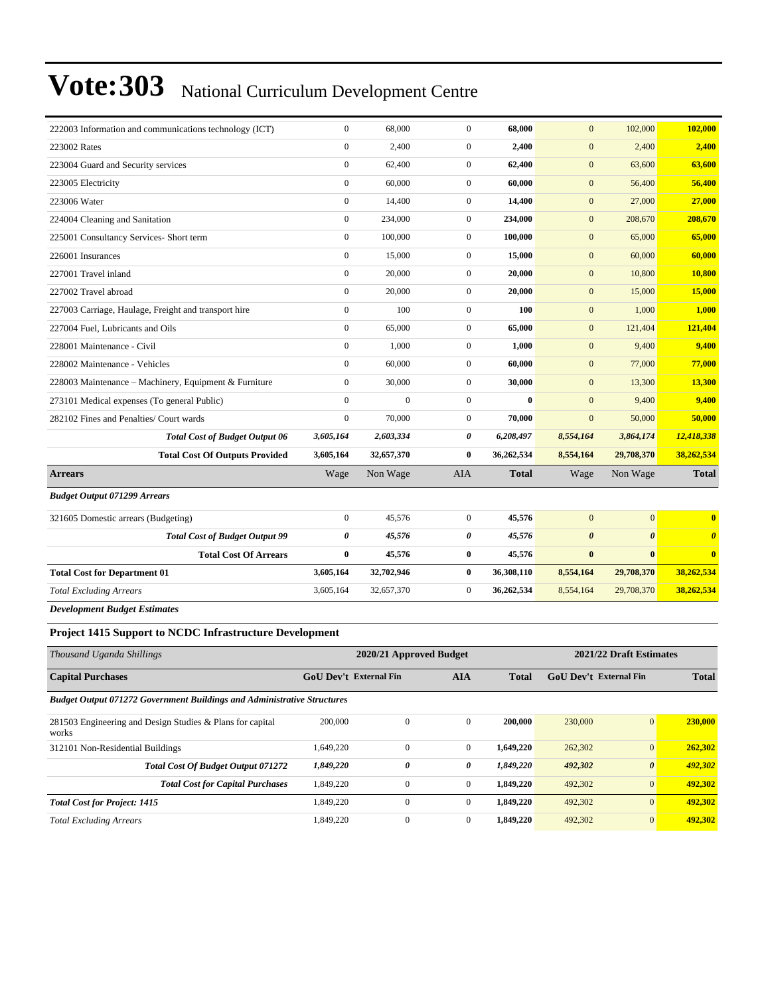| 222003 Information and communications technology (ICT) | $\mathbf{0}$     | 68,000     | $\mathbf{0}$     | 68,000       | $\mathbf{0}$          | 102,000               | 102,000                 |
|--------------------------------------------------------|------------------|------------|------------------|--------------|-----------------------|-----------------------|-------------------------|
| 223002 Rates                                           | $\boldsymbol{0}$ | 2,400      | $\mathbf{0}$     | 2,400        | $\mathbf{0}$          | 2,400                 | 2,400                   |
| 223004 Guard and Security services                     | $\boldsymbol{0}$ | 62,400     | $\mathbf{0}$     | 62,400       | $\mathbf{0}$          | 63,600                | 63,600                  |
| 223005 Electricity                                     | $\mathbf{0}$     | 60,000     | $\mathbf{0}$     | 60,000       | $\mathbf{0}$          | 56,400                | 56,400                  |
| 223006 Water                                           | $\overline{0}$   | 14,400     | $\mathbf{0}$     | 14,400       | $\mathbf{0}$          | 27,000                | 27,000                  |
| 224004 Cleaning and Sanitation                         | $\mathbf{0}$     | 234,000    | $\mathbf{0}$     | 234,000      | $\mathbf{0}$          | 208,670               | 208,670                 |
| 225001 Consultancy Services- Short term                | $\boldsymbol{0}$ | 100,000    | $\mathbf{0}$     | 100,000      | $\boldsymbol{0}$      | 65,000                | 65,000                  |
| 226001 Insurances                                      | $\mathbf{0}$     | 15,000     | $\mathbf{0}$     | 15,000       | $\boldsymbol{0}$      | 60,000                | 60,000                  |
| 227001 Travel inland                                   | $\boldsymbol{0}$ | 20,000     | $\boldsymbol{0}$ | 20,000       | $\mathbf{0}$          | 10,800                | 10,800                  |
| 227002 Travel abroad                                   | $\overline{0}$   | 20,000     | $\mathbf{0}$     | 20,000       | $\mathbf{0}$          | 15,000                | 15,000                  |
| 227003 Carriage, Haulage, Freight and transport hire   | $\mathbf{0}$     | 100        | $\mathbf{0}$     | 100          | $\mathbf{0}$          | 1,000                 | 1,000                   |
| 227004 Fuel, Lubricants and Oils                       | $\mathbf{0}$     | 65,000     | $\mathbf{0}$     | 65,000       | $\mathbf{0}$          | 121,404               | 121,404                 |
| 228001 Maintenance - Civil                             | $\boldsymbol{0}$ | 1,000      | $\mathbf{0}$     | 1,000        | $\mathbf{0}$          | 9,400                 | 9,400                   |
| 228002 Maintenance - Vehicles                          | $\mathbf{0}$     | 60,000     | $\mathbf{0}$     | 60,000       | $\mathbf{0}$          | 77,000                | 77,000                  |
| 228003 Maintenance - Machinery, Equipment & Furniture  | $\overline{0}$   | 30,000     | $\mathbf{0}$     | 30,000       | $\mathbf{0}$          | 13,300                | 13,300                  |
| 273101 Medical expenses (To general Public)            | $\mathbf{0}$     | $\theta$   | $\mathbf{0}$     | $\bf{0}$     | $\mathbf{0}$          | 9,400                 | 9,400                   |
| 282102 Fines and Penalties/ Court wards                | $\mathbf{0}$     | 70,000     | $\mathbf{0}$     | 70,000       | $\mathbf{0}$          | 50,000                | 50,000                  |
| <b>Total Cost of Budget Output 06</b>                  | 3,605,164        | 2,603,334  | 0                | 6,208,497    | 8,554,164             | 3,864,174             | 12,418,338              |
| <b>Total Cost Of Outputs Provided</b>                  | 3,605,164        | 32,657,370 | $\bf{0}$         | 36,262,534   | 8,554,164             | 29,708,370            | 38,262,534              |
| <b>Arrears</b>                                         | Wage             | Non Wage   | <b>AIA</b>       | <b>Total</b> | Wage                  | Non Wage              | <b>Total</b>            |
| <b>Budget Output 071299 Arrears</b>                    |                  |            |                  |              |                       |                       |                         |
| 321605 Domestic arrears (Budgeting)                    | $\mathbf{0}$     | 45,576     | $\mathbf{0}$     | 45,576       | $\mathbf{0}$          | $\mathbf{0}$          | $\bf{0}$                |
| <b>Total Cost of Budget Output 99</b>                  | 0                | 45,576     | 0                | 45,576       | $\boldsymbol{\theta}$ | $\boldsymbol{\theta}$ | $\boldsymbol{\theta}$   |
| <b>Total Cost Of Arrears</b>                           | $\bf{0}$         | 45,576     | $\bf{0}$         | 45,576       | $\bf{0}$              | $\bf{0}$              | $\overline{\mathbf{0}}$ |
| <b>Total Cost for Department 01</b>                    | 3,605,164        | 32,702,946 | $\bf{0}$         | 36,308,110   | 8,554,164             | 29,708,370            | 38,262,534              |
| <b>Total Excluding Arrears</b>                         | 3,605,164        | 32,657,370 | $\mathbf{0}$     | 36,262,534   | 8,554,164             | 29,708,370            | 38,262,534              |
| <b>Development Budget Estimates</b>                    |                  |            |                  |              |                       |                       |                         |

#### **Project 1415 Support to NCDC Infrastructure Development**

| Thousand Uganda Shillings                                                      | 2020/21 Approved Budget |                               |              |              | 2021/22 Draft Estimates |                       |              |  |
|--------------------------------------------------------------------------------|-------------------------|-------------------------------|--------------|--------------|-------------------------|-----------------------|--------------|--|
| <b>Capital Purchases</b>                                                       |                         | <b>GoU Dev't External Fin</b> | <b>AIA</b>   | <b>Total</b> | GoU Dev't External Fin  |                       | <b>Total</b> |  |
| <b>Budget Output 071272 Government Buildings and Administrative Structures</b> |                         |                               |              |              |                         |                       |              |  |
| 281503 Engineering and Design Studies & Plans for capital<br>works             | 200,000                 | $\mathbf{0}$                  | $\mathbf{0}$ | 200,000      | 230,000                 | $\mathbf{0}$          | 230,000      |  |
| 312101 Non-Residential Buildings                                               | 1.649.220               | $\Omega$                      | $\mathbf{0}$ | 1,649,220    | 262,302                 | $\mathbf{0}$          | 262,302      |  |
| <b>Total Cost Of Budget Output 071272</b>                                      | 1,849,220               | 0                             | 0            | 1,849,220    | 492,302                 | $\boldsymbol{\theta}$ | 492,302      |  |
| <b>Total Cost for Capital Purchases</b>                                        | 1,849,220               | $\mathbf{0}$                  | $\mathbf{0}$ | 1,849,220    | 492,302                 | $\mathbf{0}$          | 492,302      |  |
| <b>Total Cost for Project: 1415</b>                                            | 1.849.220               | $\mathbf{0}$                  | $\mathbf{0}$ | 1,849,220    | 492,302                 | $\mathbf{0}$          | 492,302      |  |
| <b>Total Excluding Arrears</b>                                                 | 1,849,220               | $\mathbf{0}$                  | $\mathbf{0}$ | 1,849,220    | 492,302                 | $\mathbf{0}$          | 492,302      |  |